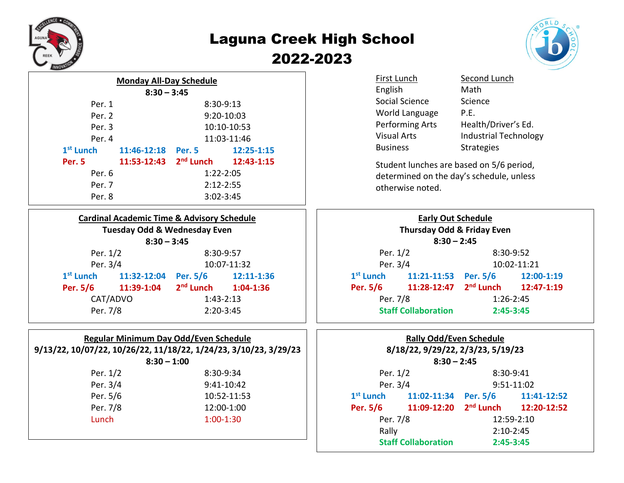

## Laguna Creek High School 2022-2023



| <b>Monday All-Day Schedule</b> |  |               |               |                                              |  |
|--------------------------------|--|---------------|---------------|----------------------------------------------|--|
|                                |  | $8:30 - 3:45$ |               |                                              |  |
| $8:30-9:13$<br>Per. 1          |  |               |               |                                              |  |
| Per. 2                         |  |               | 9:20-10:03    |                                              |  |
| Per. 3                         |  |               | 10:10-10:53   |                                              |  |
| Per. 4                         |  |               | 11:03-11:46   |                                              |  |
| $1st$ Lunch                    |  | 11:46-12:18   | Per. 5        | 12:25-1:15                                   |  |
| Per. 5                         |  |               |               | 11:53-12:43 2 <sup>nd</sup> Lunch 12:43-1:15 |  |
| Per. 6                         |  |               | $1:22 - 2:05$ |                                              |  |
| Per. 7                         |  |               | $2:12 - 2:55$ |                                              |  |
| Per. 8                         |  |               | $3:02 - 3:45$ |                                              |  |
|                                |  |               |               |                                              |  |

| <b>Cardinal Academic Time &amp; Advisory Schedule</b> |                           |                                 |                     |  |  |
|-------------------------------------------------------|---------------------------|---------------------------------|---------------------|--|--|
| <b>Tuesday Odd &amp; Wednesday Even</b>               |                           |                                 |                     |  |  |
|                                                       | $8:30 - 3:45$             |                                 |                     |  |  |
|                                                       | Per. 1/2                  |                                 | 8:30-9:57           |  |  |
|                                                       | Per. 3/4                  |                                 | 10:07-11:32         |  |  |
|                                                       | $1st$ Lunch $11:32-12:04$ |                                 | Per. 5/6 12:11-1:36 |  |  |
|                                                       | Per. 5/6 11:39-1:04       | 2 <sup>nd</sup> Lunch 1:04-1:36 |                     |  |  |
| CAT/ADVO                                              |                           | $1:43-2:13$                     |                     |  |  |
| Per. 7/8                                              |                           | $2:20-3:45$                     |                     |  |  |

| Regular Minimum Day Odd/Even Schedule<br>9/13/22, 10/07/22, 10/26/22, 11/18/22, 1/24/23, 3/10/23, 3/29/23<br>$8:30 - 1:00$ |             |  |  |  |
|----------------------------------------------------------------------------------------------------------------------------|-------------|--|--|--|
|                                                                                                                            | $8:30-9:34$ |  |  |  |
| Per. 1/2                                                                                                                   |             |  |  |  |
| Per. 3/4                                                                                                                   | 9:41-10:42  |  |  |  |
| Per. 5/6                                                                                                                   | 10:52-11:53 |  |  |  |
| Per. 7/8                                                                                                                   | 12:00-1:00  |  |  |  |
| Lunch                                                                                                                      | $1:00-1:30$ |  |  |  |
|                                                                                                                            |             |  |  |  |

| First Lunch        | Second Lunch                 |
|--------------------|------------------------------|
| English            | Math                         |
| Social Science     | Science                      |
| World Language     | P.E.                         |
| Performing Arts    | Health/Driver's Ed.          |
| <b>Visual Arts</b> | <b>Industrial Technology</b> |
| <b>Business</b>    | <b>Strategies</b>            |
|                    |                              |

Student lunches are based on 5/6 period, determined on the day's schedule, unless otherwise noted.

| <b>Early Out Schedule</b><br>Thursday Odd & Friday Even<br>$8:30 - 2:45$ |                              |                     |  |  |
|--------------------------------------------------------------------------|------------------------------|---------------------|--|--|
| 8:30-9:52<br>Per. 1/2                                                    |                              |                     |  |  |
| Per. 3/4                                                                 |                              | 10:02-11:21         |  |  |
|                                                                          | $1^{st}$ Lunch $11:21-11:53$ | Per. 5/6 12:00-1:19 |  |  |
| Per. 5/6 11:28-12:47 2 <sup>nd</sup> Lunch 12:47-1:19                    |                              |                     |  |  |
| Per. 7/8                                                                 |                              | $1:26-2:45$         |  |  |
|                                                                          | <b>Staff Collaboration</b>   | $2:45 - 3:45$       |  |  |

| <b>Rally Odd/Even Schedule</b><br>8/18/22, 9/29/22, 2/3/23, 5/19/23<br>$8:30 - 2:45$ |                                                        |             |                      |  |
|--------------------------------------------------------------------------------------|--------------------------------------------------------|-------------|----------------------|--|
| Per. 1/2<br>8:30-9:41                                                                |                                                        |             |                      |  |
| Per. 3/4                                                                             |                                                        | 9:51-11:02  |                      |  |
|                                                                                      | $1st$ Lunch $11:02-11:34$                              |             | Per. 5/6 11:41-12:52 |  |
|                                                                                      | Per. 5/6 11:09-12:20 2 <sup>nd</sup> Lunch 12:20-12:52 |             |                      |  |
| Per. 7/8                                                                             |                                                        | 12:59-2:10  |                      |  |
| Rally                                                                                |                                                        | $2:10-2:45$ |                      |  |
|                                                                                      | <b>Staff Collaboration</b>                             | 2:45-3:45   |                      |  |